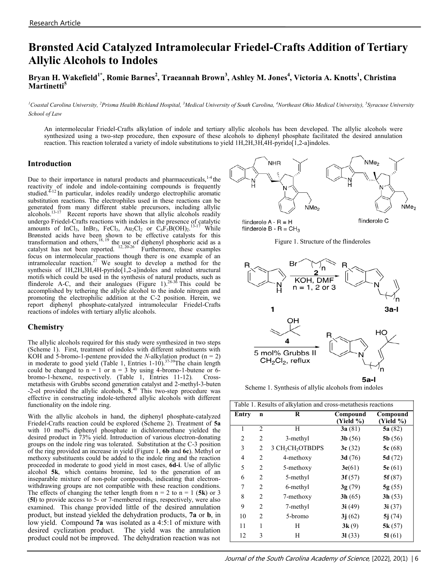# **Brønsted Acid Catalyzed Intramolecular Friedel-Crafts Addition of Tertiary Allylic Alcohols to Indoles**

# **Bryan H. Wakefield1\*, Romie Barnes<sup>2</sup> , Traeannah Brown<sup>3</sup> , Ashley M. Jones<sup>4</sup> , Victoria A. Knotts<sup>1</sup> , Christina Martinetti<sup>5</sup>**

<sup>1</sup>Coastal Carolina University, <sup>2</sup>Prisma Health Richland Hospital, <sup>3</sup>Medical University of South Carolina, <sup>4</sup>Northeast Ohio Medical University), <sup>5</sup>Syracuse University *School of Law*

An intermolecular Friedel-Crafts alkylation of indole and tertiary allylic alcohols has been developed. The allylic alcohols were synthesized using a two-step procedure, then exposure of these alcohols to diphenyl phosphate facilitated the desired annulation reaction. This reaction tolerated a variety of indole substitutions to yield 1H,2H,3H,4H-pyrido[1,2-a]indoles.

#### **Introduction**

Due to their importance in natural products and pharmaceuticals,  $14$  the reactivity of indole and indole-containing compounds is frequently studied.<sup>4-12</sup> In particular, indoles readily undergo electrophilic aromatic substitution reactions. The electrophiles used in these reactions can be generated from many different stable precursors, including allylic  $a$ lcohols.<sup>13-17</sup> Recent reports have shown that allylic alcohols readily undergo Friedel-Crafts reactions with indoles in the presence of catalytic amounts of InCl<sub>3</sub>, InBr<sub>3</sub>, FeCl<sub>3</sub>, Au<sub>2</sub>Cl<sub>2</sub> or  $C_6F_5B(OH)_2$ <sup>13-17</sup> While Brønsted acids have been shown to be effective catalysts for this transformation and others,  $18, 19$  the use of diphenyl phosphoric acid as a catalyst has not been reported.  $12, 20-26$  Furthermore, these examples focus on intermolecular reactions though there is one example of an intramolecular reaction.<sup>27</sup> We sought to develop a method for the synthesis of 1H,2H,3H,4H-pyrido[1,2-a]indoles and related structural motifs which could be used in the synthesis of natural products, such as flinderole A-C, and their analogues (Figure 1).<sup>28-36</sup> This could be accomplished by tethering the allylic alcohol to the indole nitrogen and promoting the electrophilic addition at the C-2 position. Herein, we report diphenyl phosphate-catalyzed intramolecular Friedel-Crafts reactions of indoles with tertiary allylic alcohols.

## **Chemistry**

The allylic alcohols required for this study were synthesized in two steps (Scheme 1). First, treatment of indoles with different substituents with KOH and 5-bromo-1-pentene provided the *N*-alkylation product  $(n = 2)$ in moderate to good yield (Table 1, Entries  $1-10$ ).<sup>37-39</sup>The chain length could be changed to  $n = 1$  or  $n = 3$  by using 4-bromo-1-butene or 6bromo-1-hexene, respectively. (Table 1, Entries 11-12). Crossmetathesis with Grubbs second generation catalyst and 2-methyl-3-buten -2-ol provided the allylic alcohols, **5**. <sup>40</sup> This two-step procedure was effective in constructing indole-tethered allylic alcohols with different functionality on the indole ring.

With the allylic alcohols in hand, the diphenyl phosphate-catalyzed Friedel-Crafts reaction could be explored (Scheme 2). Treatment of **5a** with 10 mol% diphenyl phosphate in dichloromethane yielded the desired product in 73% yield. Introduction of various electron-donating groups on the indole ring was tolerated. Substitution at the C-3 position of the ring provided an increase in yield (Figure 1, **6b** and **6c**). Methyl or methoxy substituents could be added to the indole ring and the reaction proceeded in moderate to good yield in most cases, **6d-i**. Use of allylic alcohol **5k**, which contains bromine, led to the generation of an inseparable mixture of non-polar compounds, indicating that electronwithdrawing groups are not compatible with these reaction conditions. The effects of changing the tether length from  $n = 2$  to  $n = 1$  (5k) or 3 (**5l**) to provide access to 5- or 7-membered rings, respectively, were also examined. This change provided little of the desired annulation product, but instead yielded the dehydration products, **7a** or **b**, in low yield. Compound **7a** was isolated as a 4:5:1 of mixture with desired cyclization product. The yield was the annulation product could not be improved. The dehydration reaction was not



flinderole  $A - R = H$ flinderole  $B - R = CH<sub>3</sub>$ 





Scheme 1. Synthesis of allylic alcohols from indoles

| Table 1. Results of alkylation and cross-metathesis reactions |                |                                          |                       |                       |
|---------------------------------------------------------------|----------------|------------------------------------------|-----------------------|-----------------------|
| Entry                                                         | n              | R                                        | Compound<br>(Yield %) | Compound<br>(Yield %) |
| 1                                                             | $\overline{2}$ | H                                        | 3a(81)                | 5a(82)                |
| 2                                                             | $\overline{2}$ | 3-methyl                                 | 3b(56)                | 5b(56)                |
| 3                                                             | 2              | 3 CH <sub>2</sub> CH <sub>2</sub> OTBDPS | 3c(32)                | 5c(68)                |
| 4                                                             | 2              | 4-methoxy                                | 3 $d(76)$             | 5 $d(72)$             |
| 5                                                             | 2              | 5-methoxy                                | 3e(61)                | 5e(61)                |
| 6                                                             | $\mathfrak{D}$ | 5-methyl                                 | 3f(57)                | 5f(87)                |
| 7                                                             | $\overline{2}$ | 6-methyl                                 | 3g(79)                | 5g(55)                |
| 8                                                             | $\mathfrak{D}$ | 7-methoxy                                | 3h(65)                | 3h(53)                |
| 9                                                             | 2              | 7-methyl                                 | 3i(49)                | 3i(37)                |
| 10                                                            | 2              | 5-bromo                                  | 3j(62)                | 5j(74)                |
| 11                                                            | 1              | H                                        | 3k(9)                 | 5k(57)                |
| 12                                                            | 3              | H                                        | 31(33)                | 51(61)                |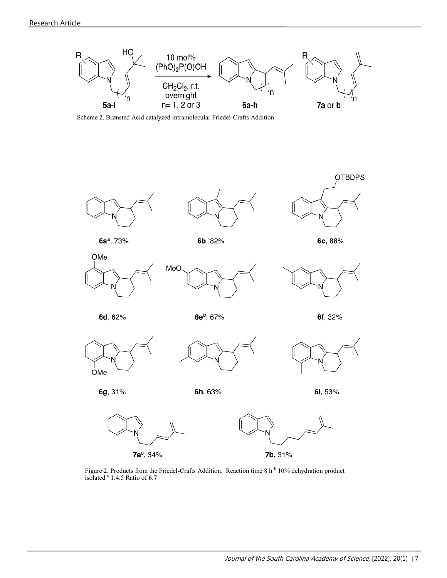

Scheme 2. Brønsted Acid catalyzed intramolecular Friedel-Crafts Addition



 $7a^c$ , 34%

7b, 31%

Figure 2. Products from the Friedel-Crafts Addition. Reaction time 8 h<sup>b</sup> 10% dehydration product isolated <sup>c</sup> 1:4.5 Ratio of **6**:**7**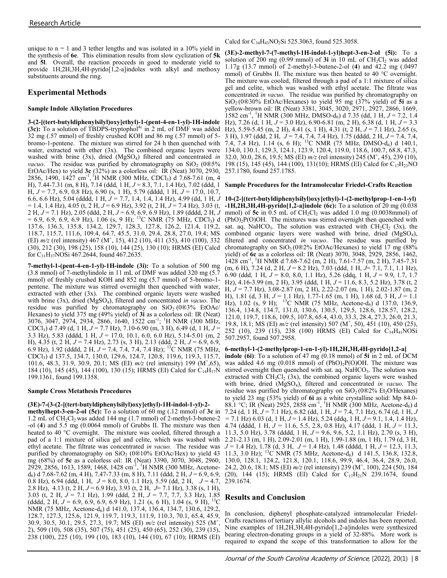unique to  $n = 1$  and 3 tether lengths and was isolated in a 10% yield in the synthesis of **6e**. This elimination results from slow cyclization of **5k**  and **5l**. Overall, the reaction proceeds in good to moderate yield to provide 1H,2H,3H,4H-pyrido[1,2-a]indoles with alkyl and methoxy substituents around the ring.

# **Experimental Methods**

#### **Sample Indole Alkylation Procedures**

3-(2-[(tert-butyldiphenylsilyl)oxy]ethyl)-1-(pent-4-en-1-yl)-1H-indole (3c): To a solution of TBDPS-tryptophol<sup>4c</sup> in 2 mL of DMF was added Hz), 5.59-5.45 (m, 2 H), 4.41 (s, 1 H), 4.31 (t, 2 H,  $J = 7.1$  Hz), 2.65 (s, 32 mg (.57 mmol) of freshly crushed KOH and 86 mg (.57 mmol) of 5 bromo-1-pentene. The mixture was stirred for 24 h then quenched with water, extracted with ether  $(3x)$ . The combined organic layers were washed with brine (3x), dried (MgSO<sub>4</sub>) filtered and concentrated *in vacuo*. The residue was purified by chromatography on  $SiO_2$  (0 $\&5\%$  198 (15), 145 (45), 144 (100), 131(10); HRMS (EI) Calcd for C<sub>17</sub>H<sub>23</sub>NO EtOAc/Hex) to yield **3c** (32%) as a colorless oil: IR (Neat) 3070, 2930, 2856, 1490, 1427 cm<sup>-1</sup>, <sup>1</sup>H NMR (300 MHz, CDCl<sub>3</sub>) d 7.68-7.61 (m, 4 H), 7.44-7.31 (m, 8 H), 7.14 (ddd, 1 H, *J* = 8.3, 7.1, 1.4 Hz), 7.02 (ddd, 1 H,  $J = 7.7$ , 6.9, 0.8 Hz), 6.90 (s, 1 H), 5.79 (dddd, 1 H,  $J = 17.0$ , 10.7, 6.6, 6.6 Hz), 5.04 (dddd, 1 H, *J =* 7.7, 1.4, 1.4, 1.4 Hz), 4.99 (dd, 1 H, *J*  = 1.4, 1.4 Hz), 4.05 (t, 2 H, *J* = 6.9 Hz), 3.92 (t, 2 H, *J* = 7.4 Hz), 3.03 (t, **-1H,2H,3H,4H-pyrido[1,2-a]indole (6c):** To a solution of 20 mg (0.038 2 H, *J* = 7.1 Hz), 2.05 (ddd, 2 H, *J* = 6.9, 6.9, 6.9 Hz), 1.89 (dddd, 2 H, *J*  $= 6.9, 6.9, 6.9, 6.9$  Hz), 1.06 (s, 9 H); <sup>13</sup>C NMR (75 MHz, CDCl<sub>3</sub>) d 137.6, 136.3, 135.8, 134.2, 129.7, 128.3, 127.8, 126.2, 121.4, 119.2, 118.7, 115.7, 111.6, 109.4, 64.7, 45.5, 31.0, 29.4, 28.8, 27.0, 19.4; MS (EI)  $m/z$  (rel intensity) 467 (M<sup>+</sup>, 15), 412 (10), 411 (35), 410 (100), 332 (30), 212 (30), 198 (25), 158 (10), 144 (25), 130 (10); HRMS (EI) Calcd for C31H37NOSi 467.2644, found 467.2635.

**7-methyl-1-(pent-4-en-1-yl)-1H-indole (3i):** To a solution of 500 mg (3.8 mmol) of 7-methylindole in 11 mL of DMF was added 320 mg (5.7 mmol) of freshly crushed KOH and 852 mg (5.7 mmol) of 5-bromo-1 pentene. The mixture was stirred overnight then quenched with water, extracted with ether (3x). The combined organic layers were washed with brine (3x), dried (MgSO<sub>4</sub>), filtered and concentrated *in vacuo*. The residue was purified by chromatography on  $SiO<sub>2</sub> (0@3% EtOAc/$ Hexanes) to yield 375 mg (49% yield) of **3i** as a colorless oil: IR (Neat) 3076, 3047, 2974, 2934, 2866, 1640, 1522 cm-<sup>1</sup> ; <sup>1</sup>H NMR (300 MHz, CDCl3) d 7.49 (d, 1 H, *J* = 7.7 Hz), 7.10-6.90 (m, 3 H), 6.49 (d, 1 H, *J* = 3.3 Hz), 5.83 (dddd, 1 H, *J* = 17.0, 10.1, 6.0, 6.0 Hz), 5.14-5.01 (m, 2 H), 4.35 (t, 2 H, *J* = 7.4 Hz), 2.73 (s, 3 H), 2.13 (ddd, 2 H, *J* = 6.9, 6.9, 6.9 Hz), 1.92 (dddd, 2 H, *J* = 7.4, 7.4, 7.4, 7.4 Hz); <sup>13</sup>C NMR (75 MHz, CDCl3) d 137.5, 134.7, 130.0, 129.6, 124.7, 120.8, 119.6, 119.3, 115.7, 101.6, 48.3, 31.9, 30.9, 20.1; MS (EI) *m/z* (rel intensity) 199 (M<sup>+</sup> ,65), 184 (10), 145 (45), 144 (100), 130 (15); HRMS (EI) Calcd for C<sub>14</sub>H<sub>17</sub>N 199.1361, found 199.1358.

#### **Sample Cross Metathesis Procedures**

## **(3E)-7-(3-(2-[(tert-butyldiphenylsilyl)oxy]ethyl)-1H-indol-1-yl)-2-**

**methylhept-3-en-2-ol (5c):** To a solution of 60 mg (.12 mmol) of **3c** in 1.2 mL of  $CH_2Cl_2$  was added 144 mg (1.7 mmol) of 2-methyl-3-butene-2 -ol (**4**) and 5.5 mg (0.0064 mmol) of Grubbs II. The mixture was then 4.74 (dddd, 1 H, *J =* 11.6, 5.5, 2.8, 0.8 Hz), 4.17 (ddd, 1 H, *J* = 11.3, heated to 40 °C overnight. The mixture was cooled, filtered through a 11.3, 5.0 Hz), 3.78 (dddd, 1 H,  $J = 9.6, 9.6, 5.2, 1.1$  Hz), 2.70 (s, 3 H), pad of a 1:1 mixture of silica gel and celite, which was washed with 2.21-2.13 (m, 1 H), 2.09-2.01 (m, 1 H), 1.99-1.88 (m, 1 H), 1.79 (d, 3 H, ethyl acetate. The filtrate was concentrated *in vacuo.* The residue was purified by chromatography on  $SiO<sub>2</sub>$  (0®10% EtOAc/Hex) to yield 43 mg (68%) of **5c** as a colorless oil: IR (Neat) 3390, 3070, 3048, 2960, mg (68%) of 5c as a colorless oil: IR (Neat) 3390, 3070, 3048, 2960, 130.0, 128.1, 124.2, 121.8, 120.1, 118.6, 99.9, 46.4, 36.4, 28.9, 26.0, 129.9, 229 (M<sup>+</sup>, 100), 224 (50), 184 d6) d 7.68-7.62 (m, 4 H), 7.47-7.33 (m, 8 H), 7.11 (ddd, 2 H, *J* = 6.9, 6.9, 0.8 Hz), 6.94 (ddd, 1 H, *J* = 8.0, 8.0, 1.1 Hz), 5.59 (dd, 2 H, *J* = 4.7, 2.8 Hz), 4.13 (t, 2 H, *J* = 6.9 Hz), 3.93 (t, 2 H, *J*= 7.1 Hz), 3.38 (s, 1 H), 3.03 (t, 2 H, *J* = 7.1 Hz), 1.99 (ddd, 2 H, *J* = 7.7, 7.7, 3.3 Hz), 1.85 (ddd, 2 H,  $J = 6.9, 6.9, 6.9, 6.9$  Hz), 1.21 (s, 6 H), 1.04 (s, 9 H), <sup>13</sup>C NMR (75 MHz, Acetone-d<sub>6</sub>) d 141.0, 137.4, 136.4, 134.7, 130.6, 129.2, 128.7, 127.3, 125.6, 121.9, 119.7, 119.3, 111.9, 110.3, 70.1, 65.4, 45.9, 30.9, 30.5, 30.1, 29.5, 27.3, 19.7; MS (EI) *m/z* (rel intensity) 525 (M<sup>+</sup> , 2), 509 (10), 508 (35), 507 (75), 451 (25), 450 (65), 252 (30), 239 (15), 238 (100), 225 (10), 199 (10), 183 (10), 144 (10), 67 (10); HRMS (EI)

Calcd for  $C_{34}H_{43}NO_2Si$  525.3063, found 525.3058.

 $(3E)$ -2-methyl-7-(7-methyl-1H-indol-1-yl)hept-3-en-2-ol  $(5i)$ : To a solution of  $200 \text{ mg}$  (0.99 mmol) of  $3i$  in  $10 \text{ mL}$  of  $CH_2Cl_2$  was added 1.17g (13.7 mmol) of 2-methyl-3-butene-2-ol (**4**) and 42.2 mg (.0497 mmol) of Grubbs II. The mixture was then heated to 40 °C overnight. The mixture was cooled, filtered through a pad of a 1:1 mixture of silica gel and celite, which was washed with ethyl acetate. The filtrate was concentrated *in vacuo.* The residue was purified by chromatography on  $SiO<sub>2</sub>(0@30% EtOAc/Hexanes)$  to yield 95 mg (37% yield) of 5i as a yellow-brown oil: IR (Neat) 3381, 3045, 3020, 2971, 2927, 2866, 1669,  $1582 \text{ cm}^{-1}$ , <sup>1</sup>H NMR (300 MHz, DMSO-d<sub>6</sub>) d 7.35 (dd, 1 H,  $J = 7.2$ , 1.4 Hz), 7.26 (d, 1 H, *J* = 3.0 Hz), 6.90-6.81 (m, 2 H), 6.38 (d, 1 H, *J* = 3.3 3 H), 1.97 (ddd, 2 H, *J* = 7.4, 7.4, 7.4 Hz), 1.75 (dddd, 2 H, *J* = 7.4, 7.4, 7.4, 7.4 Hz), 1.14 (s, 6 H); <sup>13</sup>C NMR (75 MHz, DMSO-d<sub>6</sub>) d 140.1, 134.0, 130.1, 129.3, 124.1, 123.9, 120.4, 119.0, 118.6, 100.7, 68.8, 47.3, 32.0, 30.0, 28.6, 19.5; MS (EI) *m/z* (rel intensity) 245 (M<sup>+</sup> , 45), 239 (10), 257.1780, found 257.1785.

#### **Sample Procedures for the Intramolecular Friedel-Crafts Reaction**

**10-(2-[(tert-butyldiphenylsilyl)oxy]ethyl)-1-(2-methylprop-1-en-1-yl)** mmol) of  $5c$  in  $0.5$  mL of  $CH_2Cl_2$  was added 1.0 mg (0.0038mmol) of  $(PhO)<sub>2</sub>P(O)OH.$  The mixtures was stirred overnight then quenched with sat. aq. NaHCO<sub>3</sub>. The solution was extracted with  $CH_2Cl_2$  (3x), the combined organic layers were washed with brine, dried (MgSO4), filtered and concentrated *in vacuo*. The residue was purified by chromatography on  $SiO_2(0@2% EtOAc/Hexanes)$  to yield 17 mg (88%) yield) of **6c** as a colorless oil: IR (Neat) 3070, 3048, 2929, 2856, 1462,  $1428 \text{ cm}^3$ , <sup>1</sup>H NMR d 7.68-7.62 (m, 2 H), 7.61-7.57 (m, 2 H), 7.45-7.31 (m, 6 H), 7.24 (d, 2 H, *J* = 8.2 Hz), 7.03 (ddd, 1 H, *J*= 7.1, 7.1, 1.1 Hz), 6.90 (ddd, 1 H, *J* = 8.0, 8.0, 1.1 Hz), 5.26 (ddq, 1 H, *J* = 9.9, 1.7, 1.7 Hz), 4.16-3.99 (m, 2 H), 3.95 (ddd, 1 H, *J* = 11.6, 8.3, 5.2 Hz), 3.78 (t, 2 H, *J* = 7.7 Hz), 3.08-2.87 (m, 2 H), 2.22-2.07 (m, 1 H), 2.02-1.87 (m, 2 H), 1.81 (d, 3 H, *J* = 1.1 Hz), 1.77-1.65 (m, 1 H), 1.68 (d, 3 H, *J* = 1.1 Hz), 1.02 (s, 9 H); <sup>13</sup>C NMR (75 MHz, Acetone-d<sub>6</sub>) d 137.0, 136.9, 136.4, 134.8, 134.7, 131.0, 130.6, 130.5, 129.5, 128.6, 128.57, 128.2, 121.0, 119.7, 118.6, 109.5, 107.8, 65.4, 43.0, 33.3, 28.4, 27.3, 26.0, 21.3, 19.8, 18.1; MS (EI)  $m/z$  (rel intensity) 507 (M<sup>+</sup>, 50), 451 (10), 450 (25), 252 (10), 239 (15), 238 (100) HRMS (EI) Calcd for  $C_{34}H_{41}NOSi$ 507.2957, found 507.2958.

**6-methyl-1-(2-methylprop-1-en-1-yl)-1H,2H,3H,4H-pyrido[1,2-a] indole (6i)**: To a solution of 47 mg (0.18 mmol) of **5i** in 2 mL of DCM was added 4.6 mg (0.018 mmol) of  $(PhO)<sub>2</sub>P(O)OH$ . The mixture was stirred overnight then quenched with sat. aq. NaHCO<sub>3</sub>. The solution was extracted with  $CH_2Cl_2$  (3x), the combined organic layers were washed with brine, dried (MgSO4), filtered and concentrated *in vacuo*. The residue was purified by chromatography on  $SiO<sub>2</sub>(0@2% Et<sub>2</sub>O/Hexanes)$ to yield 23 mg (53% yield) of **6i** as a white crystalline solid: Mp 84.0- 88.1 °C; IR (Neat) 2925, 2858 cm<sup>-1</sup>, <sup>1</sup>H NMR (300 MHz, Acetone-d<sub>6</sub>) d 7.24 (d, 1 H, *J* = 7.1 Hz), 6.82 (dd, 1 H, *J* = 7.4, 7.1 Hz), 6.74 (d, 1 H, *J =* 7.1 Hz) 6.03 (d, 1 H, *J* = 1.4 Hz), 5.24 (ddq, 1 H, *J* = 9.1, 1.4, 1.4 Hz), *J* = 1.4 Hz), 1.78 (d, 3 H, *J* = 1.4 Hz), 1.48 (dddd, 1 H, *J* = 12.3, 11.3, 11.3, 3.0 Hz); <sup>13</sup>C NMR (75 MHz, Acetone-d<sub>6</sub>) d 141.5, 136.8, 132.8, 24.2, 20.6, 18.1; MS (EI) *m/z* (rel intensity) 239 (M<sup>+</sup> , 100), 224 (50), 184 (20), 144 (15); HRMS (EI) Calcd for  $C_{17}H_{21}N$  239.1674, found 239.1674.

## **Results and Conclusion**

In conclusion, diphenyl phosphate-catalyzed intramolecular Friedel-Crafts reactions of tertiary allylic alcohols and indoles has been reported. Nine examples of 1H,2H,3H,4H-pyrido[1,2-a]indoles were synthesized bearing electron-donating groups in a yield of 32-88%. More work is required to expand the scope of this transformation to allow for the